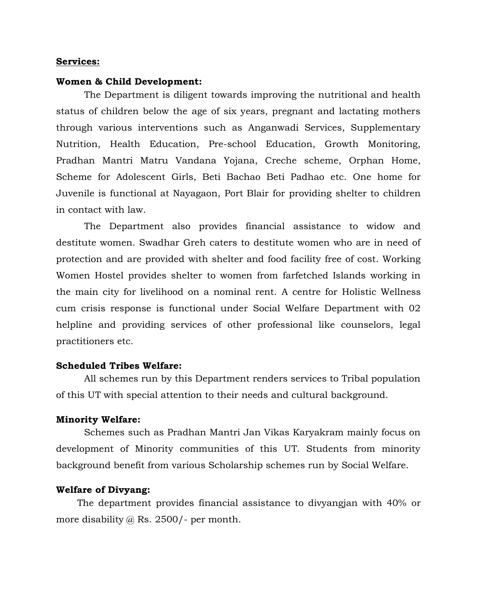#### **Services:**

## **Women & Child Development:**

The Department is diligent towards improving the nutritional and health status of children below the age of six years, pregnant and lactating mothers through various interventions such as Anganwadi Services, Supplementary Nutrition, Health Education, Pre-school Education, Growth Monitoring, Pradhan Mantri Matru Vandana Yojana, Creche scheme, Orphan Home, Scheme for Adolescent Girls, Beti Bachao Beti Padhao etc. One home for Juvenile is functional at Nayagaon, Port Blair for providing shelter to children in contact with law.

The Department also provides financial assistance to widow and destitute women. Swadhar Greh caters to destitute women who are in need of protection and are provided with shelter and food facility free of cost. Working Women Hostel provides shelter to women from farfetched Islands working in the main city for livelihood on a nominal rent. A centre for Holistic Wellness cum crisis response is functional under Social Welfare Department with 02 helpline and providing services of other professional like counselors, legal practitioners etc.

## **Scheduled Tribes Welfare:**

All schemes run by this Department renders services to Tribal population of this UT with special attention to their needs and cultural background.

## **Minority Welfare:**

Schemes such as Pradhan Mantri Jan Vikas Karyakram mainly focus on development of Minority communities of this UT. Students from minority background benefit from various Scholarship schemes run by Social Welfare.

# **Welfare of Divyang:**

The department provides financial assistance to divyangjan with 40% or more disability @ Rs. 2500/- per month.